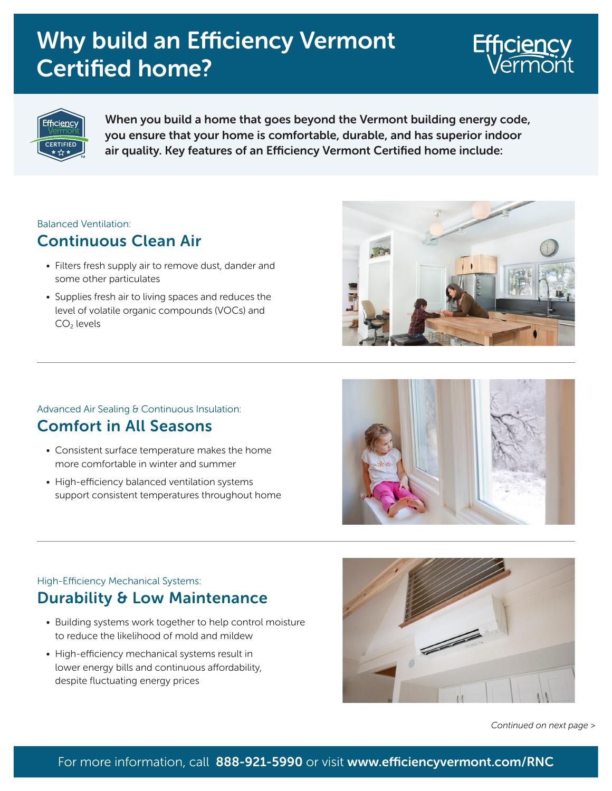# Why build an Efficiency Vermont Certified home?





When you build a home that goes beyond the Vermont building energy code, you ensure that your home is comfortable, durable, and has superior indoor air quality. Key features of an Efficiency Vermont Certified home include:

#### Balanced Ventilation:

## Continuous Clean Air

- Filters fresh supply air to remove dust, dander and some other particulates
- Supplies fresh air to living spaces and reduces the level of volatile organic compounds (VOCs) and  $CO<sub>2</sub>$  levels



### Advanced Air Sealing & Continuous Insulation: Comfort in All Seasons

- Consistent surface temperature makes the home more comfortable in winter and summer
- High-efficiency balanced ventilation systems support consistent temperatures throughout home



## High-Efficiency Mechanical Systems: Durability & Low Maintenance

- Building systems work together to help control moisture to reduce the likelihood of mold and mildew
- High-efficiency mechanical systems result in lower energy bills and continuous affordability, despite fluctuating energy prices



*Continued on next page >*